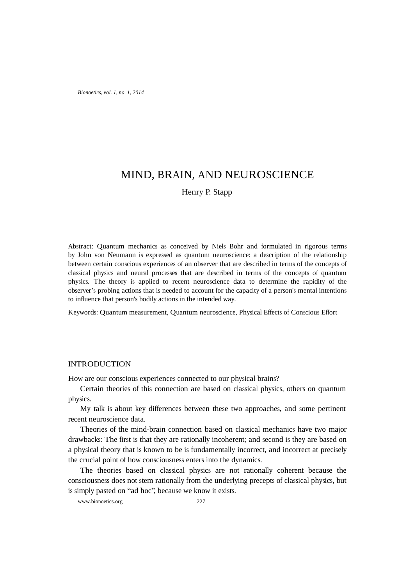*Bionoetics, vol. 1, no. 1, 2014*

# MIND, BRAIN, AND NEUROSCIENCE

Henry P. Stapp

Abstract: Quantum mechanics as conceived by Niels Bohr and formulated in rigorous terms by John von Neumann is expressed as quantum neuroscience: a description of the relationship between certain conscious experiences of an observer that are described in terms of the concepts of classical physics and neural processes that are described in terms of the concepts of quantum physics. The theory is applied to recent neuroscience data to determine the rapidity of the observer's probing actions that is needed to account for the capacity of a person's mental intentions to influence that person's bodily actions in the intended way.

Keywords: Quantum measurement, Quantum neuroscience, Physical Effects of Conscious Effort

### INTRODUCTION

How are our conscious experiences connected to our physical brains?

Certain theories of this connection are based on classical physics, others on quantum physics.

My talk is about key differences between these two approaches, and some pertinent recent neuroscience data.

Theories of the mind-brain connection based on classical mechanics have two major drawbacks: The first is that they are rationally incoherent; and second is they are based on a physical theory that is known to be is fundamentally incorrect, and incorrect at precisely the crucial point of how consciousness enters into the dynamics.

The theories based on classical physics are not rationally coherent because the consciousness does not stem rationally from the underlying precepts of classical physics, but is simply pasted on "ad hoc", because we know it exists.

www.bionoetics.org 227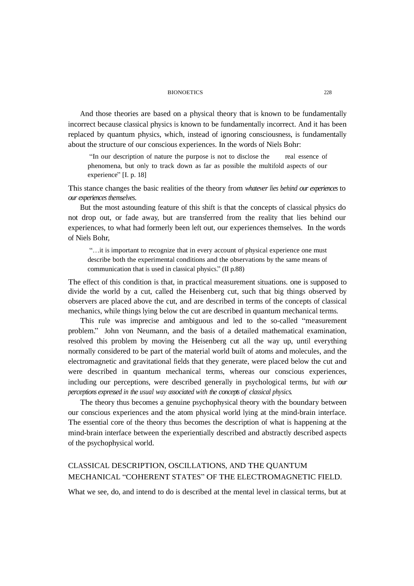#### BIONOETICS 228

And those theories are based on a physical theory that is known to be fundamentally incorrect because classical physics is known to be fundamentally incorrect. And it has been replaced by quantum physics, which, instead of ignoring consciousness, is fundamentally about the structure of our conscious experiences. In the words of Niels Bohr:

"In our description of nature the purpose is not to disclose the real essence of phenomena, but only to track down as far as possible the multifold aspects of our experience" [I. p. 18]

This stance changes the basic realities of the theory from *whatever lies behind our experiences* to *our experiences themselves*.

But the most astounding feature of this shift is that the concepts of classical physics do not drop out, or fade away, but are transferred from the reality that lies behind our experiences, to what had formerly been left out, our experiences themselves. In the words of Niels Bohr,

"…it is important to recognize that in every account of physical experience one must describe both the experimental conditions and the observations by the same means of communication that is used in classical physics." (II p.88)

The effect of this condition is that, in practical measurement situations. one is supposed to divide the world by a cut, called the Heisenberg cut, such that big things observed by observers are placed above the cut, and are described in terms of the concepts of classical mechanics, while things lying below the cut are described in quantum mechanical terms.

This rule was imprecise and ambiguous and led to the so-called "measurement problem." John von Neumann, and the basis of a detailed mathematical examination, resolved this problem by moving the Heisenberg cut all the way up, until everything normally considered to be part of the material world built of atoms and molecules, and the electromagnetic and gravitational fields that they generate, were placed below the cut and were described in quantum mechanical terms, whereas our conscious experiences, including our perceptions, were described generally in psychological terms, *but with our perceptions expressed in the usual way associated with the concepts of classical physics.*

The theory thus becomes a genuine psychophysical theory with the boundary between our conscious experiences and the atom physical world lying at the mind-brain interface. The essential core of the theory thus becomes the description of what is happening at the mind-brain interface between the experientially described and abstractly described aspects of the psychophysical world.

## CLASSICAL DESCRIPTION, OSCILLATIONS, AND THE QUANTUM MECHANICAL "COHERENT STATES" OF THE ELECTROMAGNETIC FIELD.

What we see, do, and intend to do is described at the mental level in classical terms, but at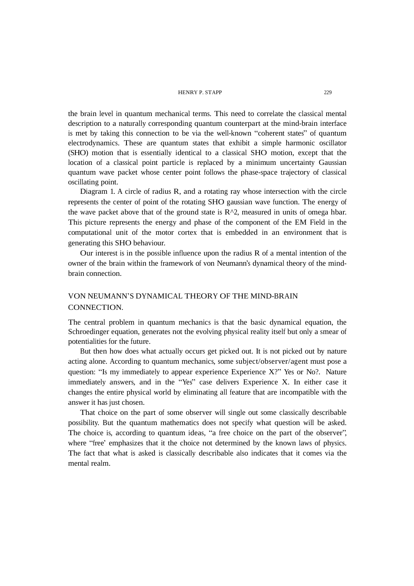#### HENRY P. STAPP 229

the brain level in quantum mechanical terms. This need to correlate the classical mental description to a naturally corresponding quantum counterpart at the mind-brain interface is met by taking this connection to be via the well-known "coherent states" of quantum electrodynamics. These are quantum states that exhibit a simple harmonic oscillator (SHO) motion that is essentially identical to a classical SHO motion, except that the location of a classical point particle is replaced by a minimum uncertainty Gaussian quantum wave packet whose center point follows the phase-space trajectory of classical oscillating point.

Diagram 1. A circle of radius R, and a rotating ray whose intersection with the circle represents the center of point of the rotating SHO gaussian wave function. The energy of the wave packet above that of the ground state is  $R^2$ , measured in units of omega hbar. This picture represents the energy and phase of the component of the EM Field in the computational unit of the motor cortex that is embedded in an environment that is generating this SHO behaviour.

Our interest is in the possible influence upon the radius  $R$  of a mental intention of the owner of the brain within the framework of von Neumann's dynamical theory of the mindbrain connection.

## VON NEUMANN'S DYNAMICAL THEORY OF THE MIND-BRAIN CONNECTION.

The central problem in quantum mechanics is that the basic dynamical equation, the Schroedinger equation, generates not the evolving physical reality itself but only a smear of potentialities for the future.

But then how does what actually occurs get picked out. It is not picked out by nature acting alone. According to quantum mechanics, some subject/observer/agent must pose a question: "Is my immediately to appear experience Experience X?" Yes or No?. Nature immediately answers, and in the "Yes" case delivers Experience X. In either case it changes the entire physical world by eliminating all feature that are incompatible with the answer it has just chosen.

That choice on the part of some observer will single out some classically describable possibility. But the quantum mathematics does not specify what question will be asked. The choice is, according to quantum ideas, "a free choice on the part of the observer", where "free' emphasizes that it the choice not determined by the known laws of physics. The fact that what is asked is classically describable also indicates that it comes via the mental realm.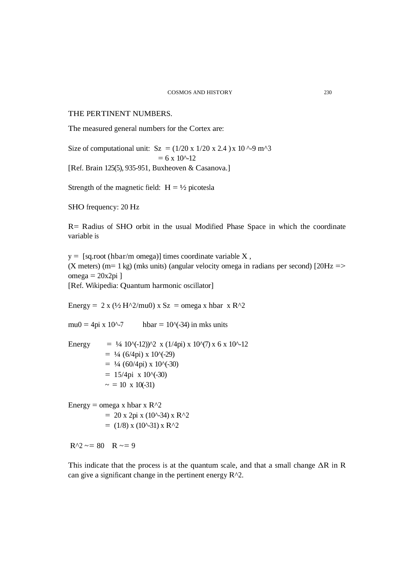THE PERTINENT NUMBERS.

The measured general numbers for the Cortex are:

Size of computational unit:  $Sz = (1/20 \times 1/20 \times 2.4) \times 10^{6} - 9 \text{ m}^3$  $= 6 \times 10^{(-12)}$ 

[Ref. Brain 125(5), 935-951, Buxheoven & Casanova.]

Strength of the magnetic field:  $H = \frac{1}{2}$  picotesla

SHO frequency: 20 Hz

R= Radius of SHO orbit in the usual Modified Phase Space in which the coordinate variable is

 $y =$  [sq.root (hbar/m omega)] times coordinate variable X, (X meters) (m= 1 kg) (mks units) (angular velocity omega in radians per second) [20Hz  $\Rightarrow$  $omega = 20x2pi$ ] [Ref. Wikipedia: Quantum harmonic oscillator]

Energy = 2 x ( $\frac{1}{2}$  H^2/mu0) x Sz = omega x hbar x R^2

mu0 = 4pi x 10^-7 hbar = 10^(-34) in mks units

Energy =  $\frac{1}{4}$  10^(-12))^2 x (1/4pi) x 10^(7) x 6 x 10^-12  $= 4/4$  (6/4pi) x 10<sup>o</sup>(-29)  $= 1/4$  (60/4pi) x 10^(-30)  $= 15/4$ pi x 10 $\degree$ (-30)  $\sim$  = 10 x 10(-31)

Energy = omega x hbar x  $R^2$  $= 20$  x 2pi x (10^-34) x R^2  $= (1/8)$  x (10^-31) x R^2

### $R^2 \sim 80$  R  $\sim 9$

This indicate that the process is at the quantum scale, and that a small change  $\Delta R$  in R can give a significant change in the pertinent energy R^2.